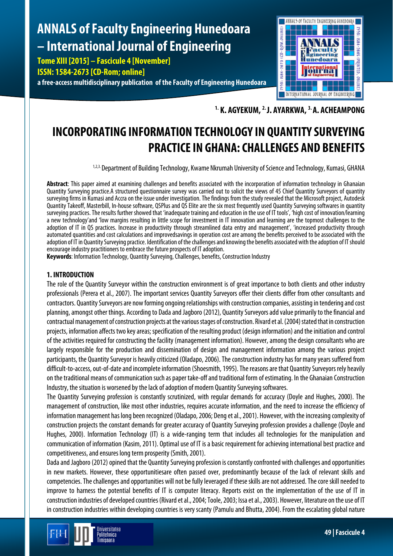# **ANNALS of Faculty Engineering Hunedoara – International Journal of Engineering**

**Tome XIII [2015] – Fascicule 4 [November]**

**ISSN: 1584-2673 [CD-Rom; online]**

**a free-access multidisciplinary publication of the Faculty of Engineering Hunedoara**



**1. K. AGYEKUM, 2. J. AYARKWA, 3.A. ACHEAMPONG**

# **INCORPORATING INFORMATION TECHNOLOGY IN QUANTITY SURVEYING PRACTICE IN GHANA: CHALLENGES AND BENEFITS**

1,2,3. Department of Building Technology, Kwame Nkrumah University of Science and Technology, Kumasi, GHANA

**Abstract**: This paper aimed at examining challenges and benefits associated with the incorporation of information technology in Ghanaian Quantity Surveying practice.A structured questionnaire survey was carried out to solicit the views of 45 Chief Quantity Surveyors of quantity surveying firms in Kumasi and Accra on the issue under investigation. The findings from the study revealed that the Microsoft project, Autodesk Quantity Takeoff, Masterbill, In-house software, QSPlus and QS Elite are the six most frequently used Quantity Surveying softwares in quantity surveying practices. The results further showed that 'inadequate training and education in the use of IT tools', 'high cost of innovation/learning a new technology'and 'low margins resulting in little scope for investment in IT innovation and learning are the topmost challenges to the adoption of IT in QS practices. Increase in productivity through streamlined data entry and management', 'increased productivity through automated quantities and cost calculations and improvedsavings in operation cost are among the benefits perceived to be associated with the adoption of IT in Quantity Surveying practice. Identification of the challenges and knowing the benefits associated with the adoption of IT should encourage industry practitioners to embrace the future prospects of IT adoption.

**Keywords**: Information Technology, Quantity Surveying, Challenges, benefits, Construction Industry

# **1. INTRODUCTION**

The role of the Quantity Surveyor within the construction environment is of great importance to both clients and other industry professionals (Perera et al., 2007). The important services Quantity Surveyors offer their clients differ from other consultants and contractors. Quantity Surveyors are now forming ongoing relationships with construction companies, assisting in tendering andcost planning, amongst other things. According to Dada and Jagboro (2012), Quantity Surveyors add value primarily to the financial and contractual management of construction projects at the various stages of construction. Rivard et al. (2004) stated that in construction projects, information affects two key areas; specification of the resulting product (design information) and the initiation and control of the activities required for constructing the facility (management information). However, among the design consultants who are largely responsible for the production and dissemination of design and management information among the various project participants, the Quantity Surveyor is heavily criticized (Oladapo, 2006). The construction industry has for many years suffered from difficult-to-access, out-of-date and incomplete information (Shoesmith, 1995). The reasons are that Quantity Surveyors rely heavily on the traditional means of communication such as paper take-off and traditional form of estimating. In the Ghanaian Construction Industry, the situation is worsened by the lack of adoption of modern Quantity Surveying softwares.

The Quantity Surveying profession is constantly scrutinized, with regular demands for accuracy (Doyle and Hughes, 2000). The management of construction, like most other industries, requires accurate information, and the need to increase the efficiency of information management has long been recognized (Oladapo, 2006; Deng et al., 2001). However, with the increasing complexity of construction projects the constant demands for greater accuracy of Quantity Surveying profession provides a challenge (Doyle and Hughes, 2000). Information Technology (IT) is a wide-ranging term that includes all technologies for the manipulation and communication of information (Kasim, 2011). Optimal use of IT is a basic requirement for achieving international best practice and competitiveness, and ensures long term prosperity (Smith, 2001).

Dada and Jagboro (2012) opined that the Quantity Surveying profession is constantly confronted with challenges and opportunities in new markets. However, these opportunitiesare often passed over, predominantly because of the lack of relevant skills and competencies. The challenges and opportunities will not be fully leveraged if these skills are not addressed. The core skill needed to improve to harness the potential benefits of IT is computer literacy. Reports exist on the implementation of the use of IT in construction industries of developed countries (Rivard et al., 2004; Toole, 2003; Issa et al., 2003). However, literature on the use of IT in construction industries within developing countries is very scanty (Pamulu and Bhutta, 2004). From the escalating global nature

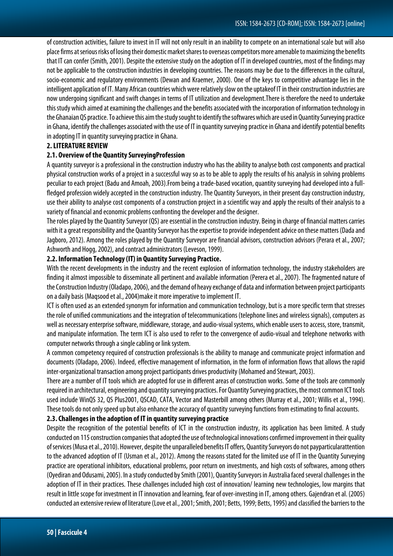of construction activities, failure to invest in IT will not only result in an inability to compete on an international scalebut will also place firms at serious risks of losing their domestic market shares to overseas competitors more amenable to maximizing the benefits that IT can confer (Smith, 2001). Despite the extensive study on the adoption of IT in developed countries, most of the findings may not be applicable to the construction industries in developing countries. The reasons may be due to the differences in the cultural, socio-economic and regulatory environments (Dewan and Kraemer, 2000). One of the keys to competitive advantage lies in the intelligent application of IT. Many African countries which were relatively slow on the uptakeof IT in their construction industries are now undergoing significant and swift changes in terms of IT utilization and development.There is therefore the need to undertake this study which aimed at examining the challenges and the benefits associated with the incorporation of information technology in the Ghanaian QS practice. To achieve this aim the study sought to identify the softwares which are used in Quantity Surveyingpractice in Ghana, identify the challenges associated with the use of IT in quantity surveying practice in Ghana and identify potential benefits in adopting IT in quantity surveying practice in Ghana.

# **2. LITERATURE REVIEW**

# **2.1. Overview of the Quantity SurveyingProfession**

A quantity surveyor is a professional in the construction industry who has the ability to analyse both cost components and practical physical construction works of a project in a successful way so as to be able to apply the results of his analysis in solving problems peculiar to each project (Badu and Amoah, 2003).From being a trade-based vocation, quantity surveying had developed into a fullfledged profession widely accepted in the construction industry. The Quantity Surveyors, in their present day construction industry, use their ability to analyse cost components of a construction project in a scientific way and apply the results of their analysis to a variety of financial and economic problems confronting the developer and the designer.

The roles played by the Quantity Surveyor (QS) are essential in the construction industry. Being in charge of financial matters carries with it a great responsibility and the Quantity Surveyor has the expertise to provide independent advice on these matters (Dada and Jagboro, 2012). Among the roles played by the Quantity Surveyor are financial advisors, construction advisors (Perara et al.,2007; Ashworth and Hogg, 2002), and contract administrators (Leveson, 1999).

# **2.2. Information Technology (IT) in Quantity Surveying Practice.**

With the recent developments in the industry and the recent explosion of information technology, the industry stakeholders are finding it almost impossible to disseminate all pertinent and available information (Perera et al.,2007). The fragmented nature of the Construction Industry (Oladapo, 2006), and the demand of heavy exchange of data and information between project participants on a daily basis (Maqsood et al., 2004)make it more imperative to implement IT.

ICT is often used as an extended synonym for information and communication technology, but is a more specific term that stresses the role of unified communications and the integration of telecommunications (telephone lines and wireless signals), computers as well as necessary enterprise software, middleware, storage, and audio-visual systems, which enable users to access, store, transmit, and manipulate information. The term ICT is also used to refer to the convergence of audio-visual and telephone networks with computer networks through a single cabling or link system.

A common competency required of construction professionals is the ability to manage and communicate project information and documents (Oladapo, 2006). Indeed, effective management of information, in the form of information flows that allows the rapid inter-organizational transaction among project participants drives productivity (Mohamed and Stewart, 2003).

There are a number of IT tools which are adopted for use in different areas of construction works. Some of the tools are commonly required in architectural, engineering and quantity surveying practices. For Quantity Surveying practices, the most common ICT tools used include WinQS 32, QS Plus2001, QSCAD, CATA, Vector and Masterbill among others (Murray et al., 2001; Willis et al., 1994). These tools do not only speed up but also enhance the accuracy of quantity surveying functions from estimating to final accounts.

# **2.3.Challenges in the adoption of IT in quantity surveying practice**

Despite the recognition of the potential benefits of ICT in the construction industry, its application has been limited. A study conducted on 115 construction companies that adopted the use of technological innovations confirmed improvement in their quality of services (Musa et al., 2010). However, despite the unparalleled benefits IT offers, Quantity Surveyors do not payparticularattention to the advanced adoption of IT (Usman et al., 2012). Among the reasons stated for the limited use of IT in the Quantity Surveying practice are operational inhibitors, educational problems, poor return on investments, and high costs of softwares, among others (Oyediran and Odusami, 2005). In a study conducted by Smith (2001), Quantity Surveyors in Australia faced several challenges in the adoption of IT in their practices. These challenges included high cost of innovation/ learning new technologies, low margins that result in little scope for investment in IT innovation and learning, fear of over-investing in IT, among others. Gajendran et al. (2005) conducted an extensive review of literature (Love et al., 2001; Smith, 2001; Betts, 1999; Betts, 1995) and classified the barriers to the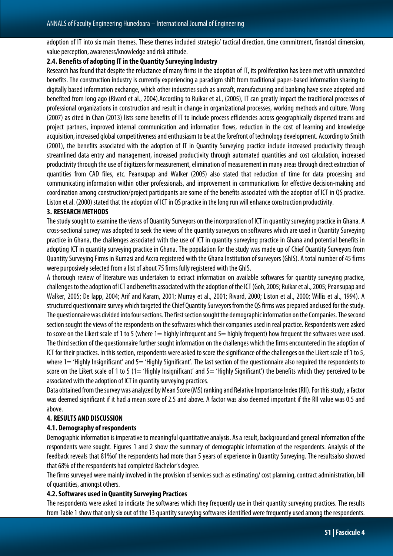adoption of IT into six main themes. These themes included strategic/ tactical direction, time commitment, financial dimension, value perception, awareness/knowledge and risk attitude.

# **2.4. Benefits of adopting IT in the Quantity Surveying Industry**

Research has found that despite the reluctance of many firms in the adoption of IT, its proliferation has been met with unmatched benefits. The construction industry is currently experiencing a paradigm shift from traditional paper-based information sharing to digitally based information exchange, which other industries such as aircraft, manufacturing and banking have since adopted and benefited from long ago (Rivard et al., 2004).According to Ruikar et al., (2005), IT can greatly impact the traditional processes of professional organizations in construction and result in change in organizational processes, working methods and culture. Wong (2007) as cited in Chan (2013) lists some benefits of IT to include process efficiencies across geographically dispersed teams and project partners, improved internal communication and information flows, reduction in the cost of learning and knowledge acquisition, increased global competitiveness and enthusiasm to be at the forefront of technology development. According to Smith (2001), the benefits associated with the adoption of IT in Quantity Surveying practice include increased productivity through streamlined data entry and management, increased productivity through automated quantities and cost calculation, increased productivity through the use of digitizers for measurement, elimination of measurement in many areas through direct extraction of quantities from CAD files, etc. Peansupap and Walker (2005) also stated that reduction of time for data processing and communicating information within other professionals, and improvement in communications for effective decision-making and coordination among construction/project participants are some of the benefits associated with the adoption of ICT in QS practice. Liston et al. (2000) stated that the adoption of ICT in QS practice in the long run will enhance construction productivity.

#### **3. RESEARCH METHODS**

The study sought to examine the views of Quantity Surveyors on the incorporation of ICT in quantity surveying practice in Ghana. A cross-sectional survey was adopted to seek the views of the quantity surveyors on softwares which are used in Quantity Surveying practice in Ghana, the challenges associated with the use of ICT in quantity surveying practice in Ghana and potential benefits in adopting ICT in quantity surveying practice in Ghana. The population for the study was made up of Chief Quantity Surveyors from Quantity Surveying Firms in Kumasi and Accra registered with the Ghana Institution of surveyors (GhIS). A total number of 45 firms were purposively selected from a list of about 75 firms fully registered with the GhIS.

A thorough review of literature was undertaken to extract information on available softwares for quantity surveying practice, challenges to the adoption of ICT and benefits associated with the adoption of the ICT (Goh, 2005; Ruikar et al., 2005; Peansupap and Walker, 2005; De lapp, 2004; Arif and Karam, 2001; Murray et al., 2001; Rivard, 2000; Liston et al., 2000; Willis et al., 1994). A structured questionnaire survey which targeted the Chief Quantity Surveyors from the QS firms was prepared and used for the study. The questionnaire was divided into four sections. The first section sought the demographic information on the Companies. The second section sought the views of the respondents on the softwares which their companies used in real practice. Respondents were asked to score on the Likert scale of 1 to 5 (where 1= highly infrequent and 5= highly frequent) how frequent the softwares were used. The third section of the questionnaire further sought information on the challenges which the firms encountered in the adoption of ICT for their practices. In this section, respondents were asked to score the significance of the challenges on the Likert scale of 1 to 5, where 1= 'Highly Insignificant' and 5= 'Highly Significant'. The last section of the questionnaire also required the respondents to score on the Likert scale of 1 to 5 (1= 'Highly Insignificant' and 5= 'Highly Significant') the benefits which they perceived to be associated with the adoption of ICT in quantity surveying practices.

Data obtained from the survey was analyzed by Mean Score (MS) ranking and Relative Importance Index (RII). For this study, a factor was deemed significant if it had a mean score of 2.5 and above. A factor was also deemed important if the RII value was 0.5 and above.

### **4. RESULTS AND DISCUSSION**

### **4.1. Demography of respondents**

Demographic information is imperative to meaningful quantitative analysis. As a result, background and general information of the respondents were sought. Figures 1 and 2 show the summary of demographic information of the respondents. Analysis of the feedback reveals that 81%of the respondents had more than 5 years of experience in Quantity Surveying. The resultsalso showed that 68% of the respondents had completed Bachelor's degree.

The firms surveyed were mainly involved in the provision of services such as estimating/ cost planning, contract administration, bill of quantities, amongst others.

#### **4.2. Softwares used in Quantity Surveying Practices**

The respondents were asked to indicate the softwares which they frequently use in their quantity surveying practices. The results from Table 1 show that only six out of the 13 quantity surveying softwares identified were frequently used among the respondents.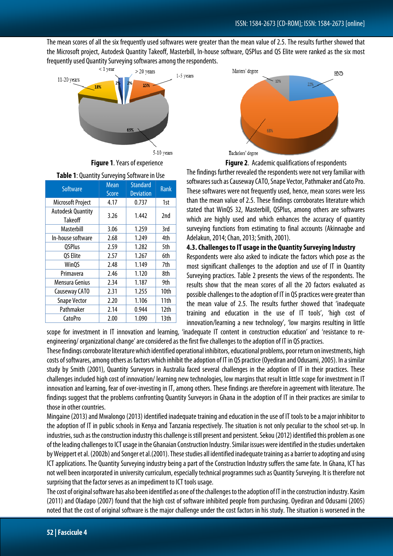The mean scores of all the six frequently used softwares were greater than the mean value of 2.5. The results further showed that the Microsoft project, Autodesk Quantity Takeoff, Masterbill, In-house software, QSPlus and QS Elite were ranked as the six most frequently used Quantity Surveying softwares among the respondents.





| Software                            | <b>Mean</b><br><b>Score</b> | <b>Standard</b><br><b>Deviation</b> | <b>Rank</b> |  |
|-------------------------------------|-----------------------------|-------------------------------------|-------------|--|
| <b>Microsoft Project</b>            | 4.17                        | 0.737                               | 1st         |  |
| <b>Autodesk Quantity</b><br>Takeoff | 3.26                        | 1.442                               | 2nd         |  |
| Masterbill                          | 3.06                        | 1.259                               | 3rd         |  |
| In-house software                   | 2.68                        | 1.249                               | 4th         |  |
| <b>QSPlus</b>                       | 2.59                        | 1.282                               | 5th         |  |
| QS Elite                            | 2.57                        | 1.267                               | 6th         |  |
| <b>WinQS</b>                        | 2.48                        | 1.149                               | 7th         |  |
| Primavera                           | 2.46                        | 1.120                               | 8th         |  |
| Mensura Genius                      | 2.34                        | 1.187                               | 9th         |  |
| Causeway CATO                       | 2.31                        | 1.255                               | 10th        |  |
| <b>Snape Vector</b>                 | 2.20                        | 1.106                               | 11th        |  |
| Pathmaker                           | 2.14                        | 0.944                               | 12th        |  |
| CatoPro                             | 2.00                        | 1.090                               | 13th        |  |



**Figure 1**. Years of experience **Figure 2**. Academic qualifications of respondents The findings further revealed the respondents were not very familiar with softwares such as Causeway CATO, Snape Vector, Pathmaker and Cato Pro. These softwares were not frequently used, hence, mean scores were less than the mean value of 2.5. These findings corroborates literature which stated that WinQS 32, Masterbill, QSPlus, among others are softwares which are highly used and which enhances the accuracy of quantity surveying functions from estimating to final accounts (Akinnagbe and Adelakun, 2014; Chan, 2013; Smith, 2001).

#### **4.3. Challenges to IT usage in the Quantity Surveying Industry**

Respondents were also asked to indicate the factors which pose as the most significant challenges to the adoption and use of IT in Quantity Surveying practices. Table 2 presents the views of the respondents. The results show that the mean scores of all the 20 factors evaluated as possible challenges to the adoption of IT in QS practices were greater than the mean value of 2.5. The results further showed that 'inadequate training and education in the use of IT tools', 'high cost of innovation/learning a new technology', 'low margins resulting in little

scope for investment in IT innovation and learning, 'inadequate IT content in construction education' and 'resistance to reengineering/ organizational change' are considered as the first five challenges to the adoption of IT in QS practices.

These findings corroborate literature which identified operational inhibitors, educational problems, poor return on investments, high costs of softwares, among others as factors which inhibit the adoption of IT in QS practice (Oyediran and Odusami, 2005). In a similar study by Smith (2001), Quantity Surveyors in Australia faced several challenges in the adoption of IT in their practices. These challenges included high cost of innovation/ learning new technologies, low margins that result in little scope for investment in IT innovation and learning, fear of over-investing in IT, among others. These findings are therefore in agreement with literature. The findings suggest that the problems confronting Quantity Surveyors in Ghana in the adoption of IT in their practices are similar to those in other countries.

Mingaine (2013) and Mwalongo(2013) identified inadequate training and education in the use of IT tools to be a major inhibitor to the adoption of IT in public schools in Kenya and Tanzania respectively. The situation is not only peculiar to the school set-up. In industries, such as the construction industry this challenge is still present and persistent. Sekou (2012) identified this problem as one of the leading challenges to ICT usage in the Ghanaian Construction Industry. Similar issues were identified in the studies undertaken by Weippert et al. (2002b) and Songer et al.(2001). These studies all identified inadequate training as a barrier to adopting and using ICT applications. The Quantity Surveying industry being a part of the Construction Industry suffers the same fate. In Ghana, ICT has not well been incorporated in university curriculum, especially technical programmes such as Quantity Surveying. It is therefore not surprising that the factor serves as an impediment to ICT tools usage.

The cost of original software has also been identified as one of the challenges to the adoption of IT in the construction industry. Kasim (2011) and Oladapo (2007) found that the high cost of software inhibited people from purchasing. Oyediran and Odusami (2005) noted that the cost of original software is the major challenge under the cost factors in his study. The situation is worsened in the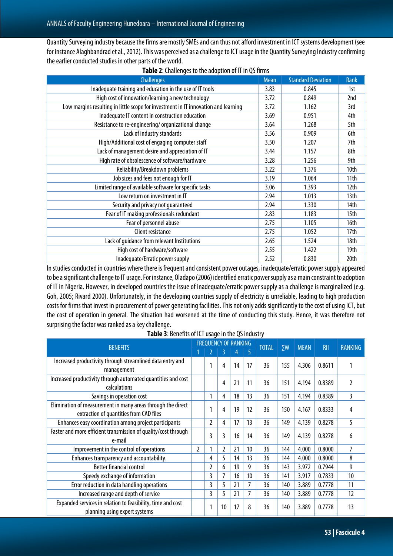Quantity Surveying industry because the firms are mostly SMEs and can thus not afford investment in ICT systems development (see for instance Alaghbandrad etal., 2012). This was perceived as a challenge to ICT usage in the Quantity Surveying Industry confirming the earlier conducted studies in other parts of the world.

| <b>Challenges</b>                                                                  |  | <b>Standard Deviation</b> | Rank |
|------------------------------------------------------------------------------------|--|---------------------------|------|
| Inadequate training and education in the use of IT tools                           |  | 0.845                     | 1st  |
| High cost of innovation/learning a new technology                                  |  | 0.849                     | 2nd  |
| Low margins resulting in little scope for investment in IT innovation and learning |  | 1.162                     | 3rd  |
| Inadequate IT content in construction education                                    |  | 0.951                     | 4th  |
| Resistance to re-engineering/organizational change                                 |  | 1.268                     | 5th  |
| Lack of industry standards                                                         |  | 0.909                     | 6th  |
| High/Additional cost of engaging computer staff                                    |  | 1.207                     | 7th  |
| Lack of management desire and appreciation of IT                                   |  | 1.157                     | 8th  |
| High rate of obsolescence of software/hardware                                     |  | 1.256                     | 9th  |
| Reliability/Breakdown problems                                                     |  | 1.376                     | 10th |
| Job sizes and fees not enough for IT                                               |  | 1.064                     | 11th |
| Limited range of available software for specific tasks                             |  | 1.393                     | 12th |
| Low return on investment in IT                                                     |  | 1.013                     | 13th |
| Security and privacy not quaranteed                                                |  | 1.330                     | 14th |
| Fear of IT making professionals redundant                                          |  | 1.183                     | 15th |
| Fear of personnel abuse                                                            |  | 1.105                     | 16th |
| Client resistance                                                                  |  | 1.052                     | 17th |
| Lack of quidance from relevant Institutions                                        |  | 1.524                     | 18th |
| High cost of hardware/software                                                     |  | 1.422                     | 19th |
| Inadequate/Erratic power supply                                                    |  | 0.830                     | 20th |

**Table 2**: Challenges to the adoption of IT in QS firms

In studies conducted in countries where there is frequent and consistent power outages, inadequate/erratic power supply appeared to be a significant challenge to IT usage. For instance, Oladapo (2006) identified erratic power supply as a main constraint to adoption of IT in Nigeria. However, in developed countries the issue of inadequate/erratic power supply as a challenge is marginalized (e.g. Goh, 2005; Rivard 2000). Unfortunately, in the developing countries supply of electricity is unreliable, leading to high production costs for firms that invest in procurement of power generating facilities. This not only adds significantly to the cost of using ICT, but the cost of operation in general. The situation had worsened at the time of conducting this study. Hence, it was therefore not surprising the factor was ranked as a key challenge.

| <b>BENEFITS</b>                                                                                        |   | <b>FREQUENCY OF RANKING</b> |    |    |    |              |            | <b>MEAN</b> | <b>RII</b> | <b>RANKING</b> |
|--------------------------------------------------------------------------------------------------------|---|-----------------------------|----|----|----|--------------|------------|-------------|------------|----------------|
|                                                                                                        |   |                             |    | 4  | 5  | <b>TOTAL</b> | $\Sigma W$ |             |            |                |
| Increased productivity through streamlined data entry and<br>management                                |   | 1                           | 4  | 14 | 17 | 36           | 155        | 4.306       | 0.8611     |                |
| Increased productivity through automated quantities and cost<br>calculations                           |   |                             | 4  | 21 | 11 | 36           | 151        | 4.194       | 0.8389     | 2              |
| Savings in operation cost                                                                              |   | 1                           | 4  | 18 | 13 | 36           | 151        | 4.194       | 0.8389     | 3              |
| Elimination of measurement in many areas through the direct<br>extraction of quantities from CAD files |   | 1                           | 4  | 19 | 12 | 36           | 150        | 4.167       | 0.8333     | 4              |
| Enhances easy coordination among project participants                                                  |   | $\overline{a}$              | 4  | 17 | 13 | 36           | 149        | 4.139       | 0.8278     | 5              |
| Faster and more efficient transmission of quality/cost through<br>e-mail                               |   | 3                           | 3  | 16 | 14 | 36           | 149        | 4.139       | 0.8278     | 6              |
| Improvement in the control of operations                                                               | 2 |                             | 2  | 21 | 10 | 36           | 144        | 4.000       | 0.8000     | 7              |
| Enhances transparency and accountability.                                                              |   | 4                           | 5  | 14 | 13 | 36           | 144        | 4.000       | 0.8000     | 8              |
| <b>Better financial control</b>                                                                        |   | 2                           | 6  | 19 | 9  | 36           | 143        | 3.972       | 0.7944     | 9              |
| Speedy exchange of information                                                                         |   | 3                           | 7  | 16 | 10 | 36           | 141        | 3.917       | 0.7833     | 10             |
| Error reduction in data handling operations                                                            |   | 3                           | 5  | 21 | 7  | 36           | 140        | 3.889       | 0.7778     | 11             |
| Increased range and depth of service                                                                   |   | 3                           | 5  | 21 | 7  | 36           | 140        | 3.889       | 0.7778     | 12             |
| Expanded services in relation to feasibility, time and cost<br>planning using expert systems           |   | 1                           | 10 | 17 | 8  | 36           | 140        | 3.889       | 0.7778     | 13             |

**Table 3**: Benefits of ICT usage in the QS industry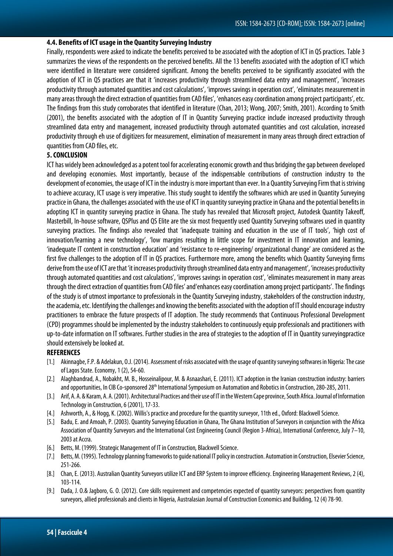#### **4.4. Benefits of ICT usage in the Quantity Surveying Industry**

Finally, respondents were asked to indicate the benefits perceived to be associated with the adoption of ICT in QS practices.Table 3 summarizes the views of the respondents on the perceived benefits. All the 13 benefits associated with the adoption of ICT which were identified in literature were considered significant. Among the benefits perceived to be significantly associated with the adoption of ICT in QS practices are that it 'increases productivity through streamlined data entry and management', 'increases productivity through automated quantities and cost calculations', 'improves savings in operation cost', 'eliminates measurement in many areas through the direct extraction of quantities from CAD files', 'enhances easy coordination among project participants', etc. The findings from this study corroborates that identified in literature (Chan, 2013; Wong, 2007; Smith, 2001). According to Smith (2001), the benefits associated with the adoption of IT in Quantity Surveying practice include increased productivity through streamlined data entry and management, increased productivity through automated quantities and cost calculation, increased productivity through eh use of digitizers for measurement, elimination of measurement in many areas through direct extraction of quantities from CAD files, etc.

#### **5. CONCLUSION**

ICT has widely been acknowledged as a potent tool for accelerating economic growth and thus bridging the gap between developed and developing economies. Most importantly, because of the indispensable contributions of construction industry to the development of economies, the usage of ICT in the industry is more important than ever. In a Quantity Surveying Firm that is striving to achieve accuracy, ICT usage is very imperative. This study sought to identify the softwares which are used in Quantity Surveying practice in Ghana, the challenges associated with the use of ICT in quantity surveying practice in Ghana and the potential benefits in adopting ICT in quantity surveying practice in Ghana. The study has revealed that Microsoft project, Autodesk Quantity Takeoff, Masterbill, In-house software, QSPlus and QS Elite are the six most frequently used Quantity Surveying softwares used in quantity surveying practices. The findings also revealed that 'inadequate training and education in the use of IT tools', 'high cost of innovation/learning a new technology', 'low margins resulting in little scope for investment in IT innovation and learning, 'inadequate IT content in construction education' and 'resistance to re-engineering/ organizational change' are considered as the first five challenges to the adoption of IT in QS practices. Furthermore more, among the benefits which Quantity Surveying firms derive from the use of ICT are that 'it increases productivity through streamlined data entry and management', 'increases productivity through automated quantities and cost calculations', 'improves savings in operation cost', 'eliminates measurement in many areas through the direct extraction of quantities from CAD files' and'enhances easy coordination among project participants'. The findings of the study is of utmost importance to professionals in the Quantity Surveying industry, stakeholders of the construction industry, the academia, etc. Identifying the challenges and knowing the benefits associated with the adoption of IT should encourage industry practitioners to embrace the future prospects of IT adoption. The study recommends that Continuous Professional Development (CPD) programmes should be implemented by the industry stakeholders to continuously equip professionals and practitioners with up-to-date information on IT softwares. Further studies in the area of strategies to the adoption of IT in Quantity surveyingpractice should extensively be looked at.

### **REFERENCES**

- [1.] Akinnagbe, F.P. & Adelakun, O.J. (2014). Assessment of risks associated with the usage of quantity surveying softwares in Nigeria: The case of Lagos State. Economy, 1 (2), 54-60.
- [2.] Alaghbandrad, A., Nobakht, M. B., Hosseinalipour, M. & Asnaashari, E. (2011). ICT adoption in the Iranian construction industry: barriers and opportunities, In CIB Co-sponsored 28<sup>th</sup> International Symposium on Automation and Robotics in Construction, 280-285, 2011.
- [3.] Arif, A. A. & Karam, A. A. (2001). Architectural Practices and their use of IT in the Western Cape province, South Africa. Journal of Information Technology in Construction, 6 (2001), 17-33.
- [4.] Ashworth, A., & Hogg, K. (2002). Willis's practice and procedure for the quantity surveyor, 11th ed., Oxford: Blackwell Science.
- [5.] Badu, E. and Amoah, P. (2003). Quantity Surveying Education in Ghana, The Ghana Institution of Surveyors in conjunction with the Africa Association of Quantity Surveyors and the International Cost Engineering Council (Region 3-Africa), International Conference, July 7–10, 2003 at Accra.
- [6.] Betts, M. (1999). Strategic Management of IT in Construction*,* Blackwell Science.
- [7.] Betts, M. (1995). Technology planning frameworks to guide national IT policy in construction. Automation in Construction, Elsevier Science, 251-266.
- [8.] Chan, E. (2013). Australian Quantity Surveyors utilize ICT and ERP System to improve efficiency. Engineering Management Reviews, 2 (4), 103-114.
- [9.] Dada, J. O.& Jagboro, G. O. (2012). Core skills requirement and competencies expected of quantity surveyors: perspectives from quantity surveyors, allied professionals and clients in Nigeria, Australasian Journal of Construction Economics and Building, 12 (4) 78-90.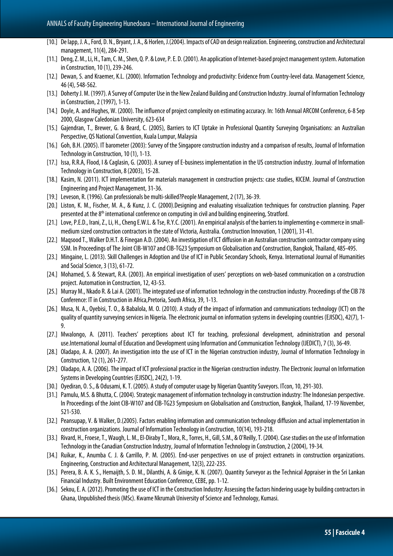- [10.] De lapp, J. A., Ford, D. N., Bryant, J. A., & Horlen, J.(2004). Impacts of CAD on design realization. Engineering, construction and Architectural management, 11(4), 284‐291.
- [11.] Deng, Z. M., Li, H., Tam, C. M., Shen, Q. P. & Love, P. E. D. (2001). An application of Internet-based project management system. Automation in Construction, 10 (1), 239-246.
- [12.] Dewan, S. and Kraemer, K.L. (2000). Information Technology and productivity: Evidence from Country-level data. Management Science, 46 (4), 548-562.
- [13.] Doherty J. M. (1997). A Survey of Computer Use in the New Zealand Building and Construction Industry. Journal of Information Technology in Construction, 2 (1997), 1-13.
- [14.] Doyle, A. and Hughes, W. (2000). The influence of project complexity on estimating accuracy. In: 16th Annual ARCOM Conference, 6-8 Sep 2000, Glasgow Caledonian University, 623-634
- [15.] Gajendran, T., Brewer, G. & Beard, C. (2005), Barriers to ICT Uptake in Professional Quantity Surveying Organisations: an Australian Perspective, QS National Convention, Kuala Lumpur, Malaysia
- [16.] Goh, B.H. (2005). IT barometer (2003): Survey of the Singapore construction industry and a comparison of results, Journal of Information Technology in Construction, 10 (1), 1-13.
- [17.] Issa, R.R.A, Flood, I & Caglasin, G. (2003). A survey of E-business implementation in the US construction industry. Journal of Information Technology in Construction, 8 (2003), 15-28.
- [18.] Kasim, N. (2011). ICT implementation for materials management in construction projects: case studies, KICEM. Journal of Construction Engineering and Project Management, 31-36.
- [19.] Leveson, R. (1996). Can professionals be multi-skilled?People Management, 2 (17), 36-39.
- [20.] Liston, K. M., Fischer, M. A., & Kunz, J. C. (2000).Designing and evaluating visualization techniques for construction planning. Paper presented at the 8<sup>th</sup> international conference on computing in civil and building engineering, Stratford.
- [21.] Love, P.E.D., Irani, Z., Li, H., Cheng E.W.L. & Tse, R.Y.C. (2001). An empirical analysis of the barriers to implementing e-commerce in smallmedium sized construction contractors in the state of Victoria, Australia. Construction Innovation, 1 (2001), 31-41.
- [22.] Maqsood T., Walker D.H.T. & Finegan A.D. (2004). An investigation of ICT diffusion in an Australian construction contractor company using SSM. In Proceedings of The Joint CIB-W107 and CIB-TG23 Symposium on Globalisation and Construction, Bangkok, Thailand, 485-495.
- [23.] Mingaine, L. (2013). Skill Challenges in Adoption and Use of ICT in Public Secondary Schools, Kenya. International Journal of Humanities and Social Science, 3 (13), 61-72.
- [24.] Mohamed, S. & Stewart, R.A. (2003). An empirical investigation of users' perceptions on web-based communication on a construction project. Automation in Construction, 12, 43-53.
- [25.] Murray M., Nkado R. & Lai A. (2001). The integrated use of information technology in the construction industry. Proceedings of the CIB 78 Conference: IT in Construction in Africa,Pretoria, South Africa, 39, 1-13.
- [26.] Musa, N. A., Oyebisi, T. O., & Babalola, M. O. (2010). A study of the impact of information and communications technology (ICT) on the quality of quantity surveying services in Nigeria. The electronic journal on information systems in developing countries (EJISDC), 42(7), 1‐ 9.
- [27.] Mwalongo, A. (2011). Teachers' perceptions about ICT for teaching, professional development, administration and personal use.International Journal of Education and Development using Information and Communication Technology (IJEDICT), 7 (3), 36-49.
- [28.] Oladapo, A. A. (2007). An investigation into the use of ICT in the Nigerian construction industry, Journal of Information Technology in Construction, 12 (1), 261-277.
- [29.] Oladapo, A. A. (2006). The impact of ICT professional practice in the Nigerian construction industry. The Electronic Journal on Information Systems in Developing Countries (EJISDC), 24(2), 1‐19.
- [30.] Oyediran, O. S., & Odusami, K. T. (2005). A study of computer usage by Nigerian Quantity Suveyors. ITcon, 10, 291-303.
- [31.] Pamulu, M.S. & Bhutta, C. (2004). Strategic management of information technology in construction industry: The Indonesian perspective. In Proceedings of the Joint CIB-W107 and CIB-TG23 Symposium on Globalisation and Construction, Bangkok, Thailand, 17-19 November, 521-530.
- [32.] Peansupap, V. & Walker, D.(2005). Factors enabling information and communication technology diffusion and actual implementation in construction organizations. Journal of Information Technology in Construction, 10(14), 193-218.
- [33.] Rivard, H., Froese, T., Waugh, L. M., El-Diraby T., Mora, R., Torres, H., Gill, S.M., & O'Reilly, T. (2004). Case studies on the use of Information Technology in the Canadian Construction Industry, Journal of Information Technology in Construction, 2 (2004),19-34.
- [34.] Ruikar, K., Anumba C. J. & Carrillo, P. M. (2005). End-user perspectives on use of project extranets in construction organizations. Engineering, Construction and Architectural Management, 12(3), 222-235.
- [35.] Perera, B. A. K. S., Hemaijth, S. D. M., Dilanthi, A. & Ginige, K. N. (2007). Quantity Surveyor as the Technical Appraiser in the Sri Lankan Financial Industry. Built Environment Education Conference, CEBE, pp. 1-12.
- [36.] Sekou, E. A. (2012). Promoting the use of ICT in the Construction Industry: Assessing the factors hindering usage by building contractors in Ghana, Unpublished thesis (MSc). Kwame Nkrumah University of Science and Technology, Kumasi.